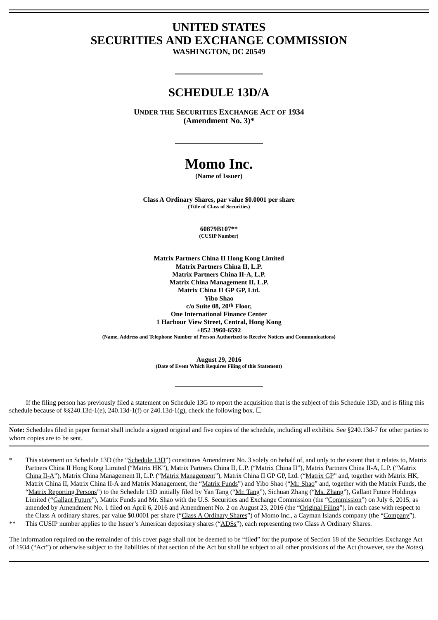## **UNITED STATES SECURITIES AND EXCHANGE COMMISSION**

**WASHINGTON, DC 20549**

## **SCHEDULE 13D/A**

**UNDER THE SECURITIES EXCHANGE ACT OF 1934 (Amendment No. 3)\***

# **Momo Inc.**

**(Name of Issuer)**

**Class A Ordinary Shares, par value \$0.0001 per share (Title of Class of Securities)**

> **60879B107\*\* (CUSIP Number)**

**Matrix Partners China II Hong Kong Limited Matrix Partners China II, L.P. Matrix Partners China II-A, L.P. Matrix China Management II, L.P. Matrix China II GP GP, Ltd. Yibo Shao c/o Suite 08, 20th Floor, One International Finance Center 1 Harbour View Street, Central, Hong Kong +852 3960-6592 (Name, Address and Telephone Number of Person Authorized to Receive Notices and Communications)**

> **August 29, 2016 (Date of Event Which Requires Filing of this Statement)**

If the filing person has previously filed a statement on Schedule 13G to report the acquisition that is the subject of this Schedule 13D, and is filing this schedule because of §§240.13d-1(e), 240.13d-1(f) or 240.13d-1(g), check the following box.  $\Box$ 

**Note:** Schedules filed in paper format shall include a signed original and five copies of the schedule, including all exhibits. See §240.13d-7 for other parties to whom copies are to be sent.

This statement on Schedule 13D (the "Schedule 13D") constitutes Amendment No. 3 solely on behalf of, and only to the extent that it relates to, Matrix Partners China II Hong Kong Limited ("Matrix HK"), Matrix Partners China II, L.P. ("Matrix China II"), Matrix Partners China II-A, L.P. ("Matrix China II-A"), Matrix China Management II, L.P. ("Matrix Management"), Matrix China II GP GP, Ltd. ("Matrix GP" and, together with Matrix HK, Matrix China II, Matrix China II-A and Matrix Management, the "Matrix Funds") and Yibo Shao ("Mr. Shao" and, together with the Matrix Funds, the "Matrix Reporting Persons") to the Schedule 13D initially filed by Yan Tang ("Mr. Tang"), Sichuan Zhang ("Ms. Zhang"), Gallant Future Holdings Limited ("Gallant Future"), Matrix Funds and Mr. Shao with the U.S. Securities and Exchange Commission (the "Commission") on July 6, 2015, as amended by Amendment No. 1 filed on April 6, 2016 and Amendment No. 2 on August 23, 2016 (the "Original Filing"), in each case with respect to the Class A ordinary shares, par value \$0.0001 per share ("Class A Ordinary Shares") of Momo Inc., a Cayman Islands company (the "Company").

This CUSIP number applies to the Issuer's American depositary shares ("ADSs"), each representing two Class A Ordinary Shares.

The information required on the remainder of this cover page shall not be deemed to be "filed" for the purpose of Section 18 of the Securities Exchange Act of 1934 ("Act") or otherwise subject to the liabilities of that section of the Act but shall be subject to all other provisions of the Act (however, *see* the *Notes*).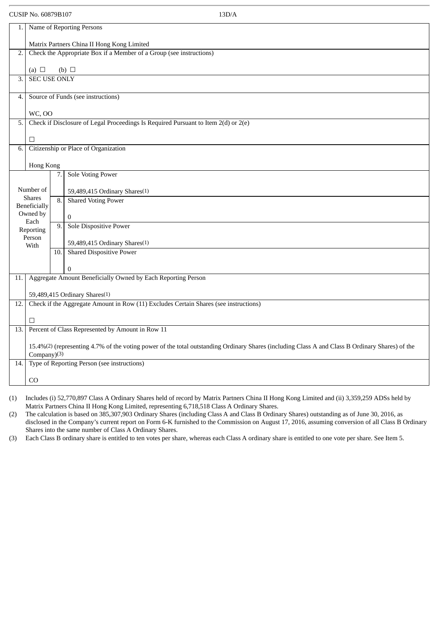|                                                                   | CUSIP No. 60879B107                                                                  |     | 13D/A                                                                                                                                           |  |  |  |
|-------------------------------------------------------------------|--------------------------------------------------------------------------------------|-----|-------------------------------------------------------------------------------------------------------------------------------------------------|--|--|--|
| 1.                                                                | Name of Reporting Persons                                                            |     |                                                                                                                                                 |  |  |  |
|                                                                   | Matrix Partners China II Hong Kong Limited                                           |     |                                                                                                                                                 |  |  |  |
| 2.                                                                |                                                                                      |     | Check the Appropriate Box if a Member of a Group (see instructions)                                                                             |  |  |  |
|                                                                   | (a) $\Box$                                                                           |     | (b) $\Box$                                                                                                                                      |  |  |  |
| 3.                                                                | <b>SEC USE ONLY</b>                                                                  |     |                                                                                                                                                 |  |  |  |
| 4.                                                                |                                                                                      |     | Source of Funds (see instructions)                                                                                                              |  |  |  |
|                                                                   | <b>WC, OO</b>                                                                        |     |                                                                                                                                                 |  |  |  |
| 5.                                                                |                                                                                      |     | Check if Disclosure of Legal Proceedings Is Required Pursuant to Item 2(d) or 2(e)                                                              |  |  |  |
|                                                                   | □                                                                                    |     |                                                                                                                                                 |  |  |  |
| 6.                                                                |                                                                                      |     | Citizenship or Place of Organization                                                                                                            |  |  |  |
|                                                                   | Hong Kong                                                                            |     |                                                                                                                                                 |  |  |  |
|                                                                   | <b>Sole Voting Power</b><br>7.                                                       |     |                                                                                                                                                 |  |  |  |
|                                                                   | Number of                                                                            |     | 59,489,415 Ordinary Shares(1)                                                                                                                   |  |  |  |
| <b>Shares</b><br><b>Shared Voting Power</b><br>8.<br>Beneficially |                                                                                      |     |                                                                                                                                                 |  |  |  |
|                                                                   | Owned by<br>Each                                                                     |     | $\boldsymbol{0}$                                                                                                                                |  |  |  |
|                                                                   | Reporting                                                                            | 9.  | Sole Dispositive Power                                                                                                                          |  |  |  |
|                                                                   | Person<br>With                                                                       |     | 59,489,415 Ordinary Shares <sup>(1)</sup>                                                                                                       |  |  |  |
|                                                                   |                                                                                      | 10. | <b>Shared Dispositive Power</b>                                                                                                                 |  |  |  |
|                                                                   |                                                                                      |     | $\theta$                                                                                                                                        |  |  |  |
| 11.                                                               |                                                                                      |     | Aggregate Amount Beneficially Owned by Each Reporting Person                                                                                    |  |  |  |
|                                                                   | 59,489,415 Ordinary Shares <sup>(1)</sup>                                            |     |                                                                                                                                                 |  |  |  |
| 12.                                                               | Check if the Aggregate Amount in Row (11) Excludes Certain Shares (see instructions) |     |                                                                                                                                                 |  |  |  |
|                                                                   | □                                                                                    |     |                                                                                                                                                 |  |  |  |
| 13.                                                               |                                                                                      |     | Percent of Class Represented by Amount in Row 11                                                                                                |  |  |  |
|                                                                   |                                                                                      |     | 15.4%(2) (representing 4.7% of the voting power of the total outstanding Ordinary Shares (including Class A and Class B Ordinary Shares) of the |  |  |  |
| 14.                                                               | Company)(3)<br>Type of Reporting Person (see instructions)                           |     |                                                                                                                                                 |  |  |  |
|                                                                   |                                                                                      |     |                                                                                                                                                 |  |  |  |
|                                                                   | CO                                                                                   |     |                                                                                                                                                 |  |  |  |

(1) Includes (i) 52,770,897 Class A Ordinary Shares held of record by Matrix Partners China II Hong Kong Limited and (ii) 3,359,259 ADSs held by Matrix Partners China II Hong Kong Limited, representing 6,718,518 Class A Ordinary Shares.

(2) The calculation is based on 385,307,903 Ordinary Shares (including Class A and Class B Ordinary Shares) outstanding as of June 30, 2016, as disclosed in the Company's current report on Form 6-K furnished to the Commission on August 17, 2016, assuming conversion of all Class B Ordinary Shares into the same number of Class A Ordinary Shares.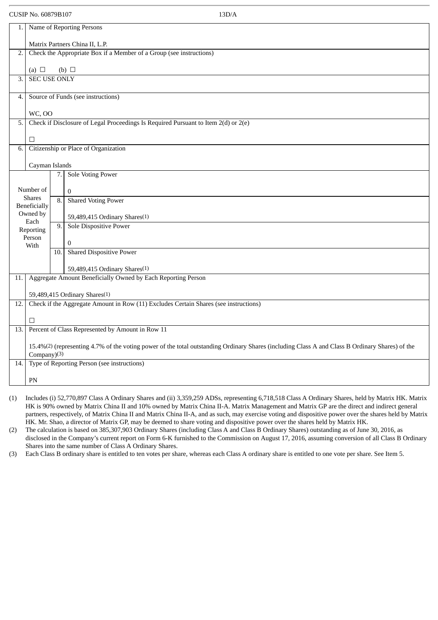| 1.               |                                                                                                                                                                |     | Name of Reporting Persons                                                          |  |  |  |
|------------------|----------------------------------------------------------------------------------------------------------------------------------------------------------------|-----|------------------------------------------------------------------------------------|--|--|--|
|                  | Matrix Partners China II, L.P.                                                                                                                                 |     |                                                                                    |  |  |  |
| 2.               | Check the Appropriate Box if a Member of a Group (see instructions)                                                                                            |     |                                                                                    |  |  |  |
|                  | (a) $\Box$<br>(b) $\Box$                                                                                                                                       |     |                                                                                    |  |  |  |
| $\overline{3}$ . | <b>SEC USE ONLY</b>                                                                                                                                            |     |                                                                                    |  |  |  |
|                  |                                                                                                                                                                |     |                                                                                    |  |  |  |
| 4.               |                                                                                                                                                                |     | Source of Funds (see instructions)                                                 |  |  |  |
|                  | <b>WC, OO</b>                                                                                                                                                  |     |                                                                                    |  |  |  |
| 5.               |                                                                                                                                                                |     | Check if Disclosure of Legal Proceedings Is Required Pursuant to Item 2(d) or 2(e) |  |  |  |
|                  | $\Box$                                                                                                                                                         |     |                                                                                    |  |  |  |
| 6.               |                                                                                                                                                                |     | Citizenship or Place of Organization                                               |  |  |  |
|                  | Cayman Islands                                                                                                                                                 |     |                                                                                    |  |  |  |
|                  |                                                                                                                                                                | 7.  | <b>Sole Voting Power</b>                                                           |  |  |  |
|                  | Number of                                                                                                                                                      |     | $\mathbf{0}$                                                                       |  |  |  |
|                  | <b>Shares</b><br>Beneficially                                                                                                                                  | 8.  | <b>Shared Voting Power</b>                                                         |  |  |  |
|                  | Owned by                                                                                                                                                       |     | 59,489,415 Ordinary Shares <sup>(1)</sup>                                          |  |  |  |
|                  | Each<br>Reporting                                                                                                                                              | 9.  | Sole Dispositive Power                                                             |  |  |  |
|                  | Person<br>With                                                                                                                                                 |     | $\mathbf{0}$                                                                       |  |  |  |
|                  |                                                                                                                                                                | 10. | <b>Shared Dispositive Power</b>                                                    |  |  |  |
|                  |                                                                                                                                                                |     | 59,489,415 Ordinary Shares(1)                                                      |  |  |  |
| 11.              |                                                                                                                                                                |     | Aggregate Amount Beneficially Owned by Each Reporting Person                       |  |  |  |
|                  |                                                                                                                                                                |     |                                                                                    |  |  |  |
| 12.              | 59,489,415 Ordinary Shares <sup>(1)</sup><br>Check if the Aggregate Amount in Row (11) Excludes Certain Shares (see instructions)                              |     |                                                                                    |  |  |  |
|                  |                                                                                                                                                                |     |                                                                                    |  |  |  |
| 13.              | □<br>Percent of Class Represented by Amount in Row 11                                                                                                          |     |                                                                                    |  |  |  |
|                  |                                                                                                                                                                |     |                                                                                    |  |  |  |
|                  | 15.4%(2) (representing 4.7% of the voting power of the total outstanding Ordinary Shares (including Class A and Class B Ordinary Shares) of the<br>Company)(3) |     |                                                                                    |  |  |  |
| 14.              | Type of Reporting Person (see instructions)                                                                                                                    |     |                                                                                    |  |  |  |
|                  | PN                                                                                                                                                             |     |                                                                                    |  |  |  |
|                  |                                                                                                                                                                |     |                                                                                    |  |  |  |

(1) Includes (i) 52,770,897 Class A Ordinary Shares and (ii) 3,359,259 ADSs, representing 6,718,518 Class A Ordinary Shares, held by Matrix HK. Matrix HK is 90% owned by Matrix China II and 10% owned by Matrix China II-A. Matrix Management and Matrix GP are the direct and indirect general partners, respectively, of Matrix China II and Matrix China II-A, and as such, may exercise voting and dispositive power over the shares held by Matrix HK. Mr. Shao, a director of Matrix GP, may be deemed to share voting and dispositive power over the shares held by Matrix HK.

(2) The calculation is based on 385,307,903 Ordinary Shares (including Class A and Class B Ordinary Shares) outstanding as of June 30, 2016, as disclosed in the Company's current report on Form 6-K furnished to the Commission on August 17, 2016, assuming conversion of all Class B Ordinary Shares into the same number of Class A Ordinary Shares.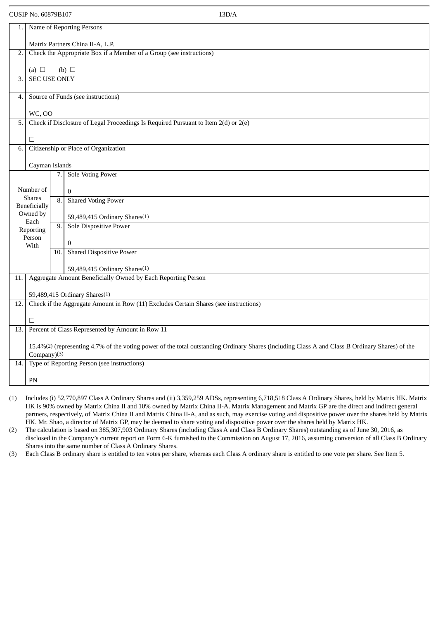| ×<br>٠ |  |
|--------|--|
|        |  |

| 1.               |                                                                                                                                                 |     | Name of Reporting Persons                                                          |  |  |  |
|------------------|-------------------------------------------------------------------------------------------------------------------------------------------------|-----|------------------------------------------------------------------------------------|--|--|--|
|                  | Matrix Partners China II-A, L.P.                                                                                                                |     |                                                                                    |  |  |  |
| 2.               | Check the Appropriate Box if a Member of a Group (see instructions)                                                                             |     |                                                                                    |  |  |  |
|                  | (a) $\Box$                                                                                                                                      |     | (b) $\Box$                                                                         |  |  |  |
| $\overline{3}$ . | <b>SEC USE ONLY</b>                                                                                                                             |     |                                                                                    |  |  |  |
|                  |                                                                                                                                                 |     |                                                                                    |  |  |  |
| 4.               |                                                                                                                                                 |     | Source of Funds (see instructions)                                                 |  |  |  |
|                  | <b>WC, OO</b>                                                                                                                                   |     |                                                                                    |  |  |  |
| 5.               |                                                                                                                                                 |     | Check if Disclosure of Legal Proceedings Is Required Pursuant to Item 2(d) or 2(e) |  |  |  |
|                  |                                                                                                                                                 |     |                                                                                    |  |  |  |
|                  | $\Box$                                                                                                                                          |     |                                                                                    |  |  |  |
| $\overline{6}$ . |                                                                                                                                                 |     | Citizenship or Place of Organization                                               |  |  |  |
|                  | Cayman Islands                                                                                                                                  |     |                                                                                    |  |  |  |
|                  |                                                                                                                                                 | 7.  | <b>Sole Voting Power</b>                                                           |  |  |  |
|                  |                                                                                                                                                 |     |                                                                                    |  |  |  |
|                  | Number of<br><b>Shares</b>                                                                                                                      |     | $\mathbf{0}$                                                                       |  |  |  |
|                  | Beneficially                                                                                                                                    | 8.  | <b>Shared Voting Power</b>                                                         |  |  |  |
|                  | Owned by                                                                                                                                        |     | 59,489,415 Ordinary Shares <sup>(1)</sup>                                          |  |  |  |
|                  | Each<br>Reporting                                                                                                                               | 9.  | <b>Sole Dispositive Power</b>                                                      |  |  |  |
|                  | Person                                                                                                                                          |     |                                                                                    |  |  |  |
|                  | With                                                                                                                                            | 10. | $\mathbf{0}$<br><b>Shared Dispositive Power</b>                                    |  |  |  |
|                  |                                                                                                                                                 |     |                                                                                    |  |  |  |
|                  |                                                                                                                                                 |     | 59,489,415 Ordinary Shares(1)                                                      |  |  |  |
| 11.              |                                                                                                                                                 |     | Aggregate Amount Beneficially Owned by Each Reporting Person                       |  |  |  |
|                  |                                                                                                                                                 |     | 59,489,415 Ordinary Shares <sup>(1)</sup>                                          |  |  |  |
| 12.              | Check if the Aggregate Amount in Row (11) Excludes Certain Shares (see instructions)                                                            |     |                                                                                    |  |  |  |
|                  |                                                                                                                                                 |     |                                                                                    |  |  |  |
|                  | □                                                                                                                                               |     |                                                                                    |  |  |  |
|                  | Percent of Class Represented by Amount in Row 11<br>13.                                                                                         |     |                                                                                    |  |  |  |
|                  | 15.4%(2) (representing 4.7% of the voting power of the total outstanding Ordinary Shares (including Class A and Class B Ordinary Shares) of the |     |                                                                                    |  |  |  |
|                  | Company)(3)                                                                                                                                     |     |                                                                                    |  |  |  |
| 14.              | Type of Reporting Person (see instructions)                                                                                                     |     |                                                                                    |  |  |  |
|                  | PN                                                                                                                                              |     |                                                                                    |  |  |  |
|                  |                                                                                                                                                 |     |                                                                                    |  |  |  |

(1) Includes (i) 52,770,897 Class A Ordinary Shares and (ii) 3,359,259 ADSs, representing 6,718,518 Class A Ordinary Shares, held by Matrix HK. Matrix HK is 90% owned by Matrix China II and 10% owned by Matrix China II-A. Matrix Management and Matrix GP are the direct and indirect general partners, respectively, of Matrix China II and Matrix China II-A, and as such, may exercise voting and dispositive power over the shares held by Matrix HK. Mr. Shao, a director of Matrix GP, may be deemed to share voting and dispositive power over the shares held by Matrix HK.

(2) The calculation is based on 385,307,903 Ordinary Shares (including Class A and Class B Ordinary Shares) outstanding as of June 30, 2016, as disclosed in the Company's current report on Form 6-K furnished to the Commission on August 17, 2016, assuming conversion of all Class B Ordinary Shares into the same number of Class A Ordinary Shares.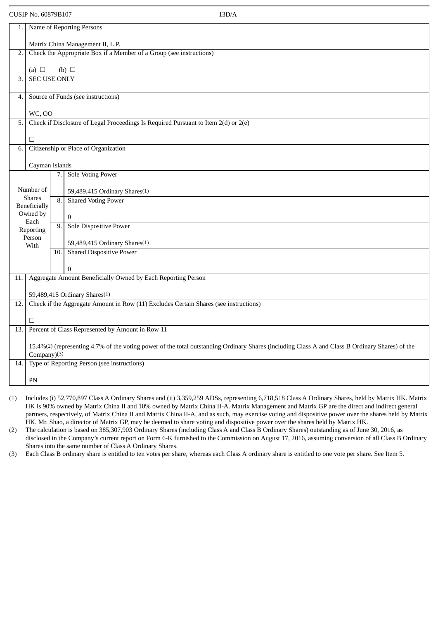| ×<br>۰. |  |
|---------|--|
|         |  |
|         |  |

| 1.               |                                                                                                                                                 |      | Name of Reporting Persons                                                          |  |  |  |
|------------------|-------------------------------------------------------------------------------------------------------------------------------------------------|------|------------------------------------------------------------------------------------|--|--|--|
|                  | Matrix China Management II, L.P.                                                                                                                |      |                                                                                    |  |  |  |
| 2.               | Check the Appropriate Box if a Member of a Group (see instructions)                                                                             |      |                                                                                    |  |  |  |
|                  | (a) $\Box$                                                                                                                                      |      | (b) $\Box$                                                                         |  |  |  |
| $\overline{3}$ . | <b>SEC USE ONLY</b>                                                                                                                             |      |                                                                                    |  |  |  |
| 4.               |                                                                                                                                                 |      | Source of Funds (see instructions)                                                 |  |  |  |
|                  |                                                                                                                                                 |      |                                                                                    |  |  |  |
| 5.               | <b>WC, OO</b>                                                                                                                                   |      | Check if Disclosure of Legal Proceedings Is Required Pursuant to Item 2(d) or 2(e) |  |  |  |
|                  |                                                                                                                                                 |      |                                                                                    |  |  |  |
| 6.               | $\Box$                                                                                                                                          |      | Citizenship or Place of Organization                                               |  |  |  |
|                  |                                                                                                                                                 |      |                                                                                    |  |  |  |
|                  | Cayman Islands                                                                                                                                  | 7.   | <b>Sole Voting Power</b>                                                           |  |  |  |
|                  | Number of                                                                                                                                       |      | 59,489,415 Ordinary Shares(1)                                                      |  |  |  |
|                  | <b>Shares</b>                                                                                                                                   | 8.   | <b>Shared Voting Power</b>                                                         |  |  |  |
|                  | Beneficially<br>Owned by                                                                                                                        |      | $\pmb{0}$                                                                          |  |  |  |
|                  | Each<br>Reporting                                                                                                                               | 9.   | Sole Dispositive Power                                                             |  |  |  |
|                  | Person                                                                                                                                          |      | 59,489,415 Ordinary Shares <sup>(1)</sup>                                          |  |  |  |
|                  | With                                                                                                                                            | 10.1 | <b>Shared Dispositive Power</b>                                                    |  |  |  |
|                  |                                                                                                                                                 |      | $\mathbf 0$                                                                        |  |  |  |
| 11.              |                                                                                                                                                 |      | Aggregate Amount Beneficially Owned by Each Reporting Person                       |  |  |  |
|                  | 59,489,415 Ordinary Shares <sup>(1)</sup>                                                                                                       |      |                                                                                    |  |  |  |
| 12.              | Check if the Aggregate Amount in Row (11) Excludes Certain Shares (see instructions)                                                            |      |                                                                                    |  |  |  |
|                  | п                                                                                                                                               |      |                                                                                    |  |  |  |
| 13.              | Percent of Class Represented by Amount in Row 11                                                                                                |      |                                                                                    |  |  |  |
|                  | 15.4%(2) (representing 4.7% of the voting power of the total outstanding Ordinary Shares (including Class A and Class B Ordinary Shares) of the |      |                                                                                    |  |  |  |
| 14.              | Company)(3)<br>Type of Reporting Person (see instructions)                                                                                      |      |                                                                                    |  |  |  |
|                  |                                                                                                                                                 |      |                                                                                    |  |  |  |
|                  | PN                                                                                                                                              |      |                                                                                    |  |  |  |

(1) Includes (i) 52,770,897 Class A Ordinary Shares and (ii) 3,359,259 ADSs, representing 6,718,518 Class A Ordinary Shares, held by Matrix HK. Matrix HK is 90% owned by Matrix China II and 10% owned by Matrix China II-A. Matrix Management and Matrix GP are the direct and indirect general partners, respectively, of Matrix China II and Matrix China II-A, and as such, may exercise voting and dispositive power over the shares held by Matrix HK. Mr. Shao, a director of Matrix GP, may be deemed to share voting and dispositive power over the shares held by Matrix HK.

(2) The calculation is based on 385,307,903 Ordinary Shares (including Class A and Class B Ordinary Shares) outstanding as of June 30, 2016, as disclosed in the Company's current report on Form 6-K furnished to the Commission on August 17, 2016, assuming conversion of all Class B Ordinary Shares into the same number of Class A Ordinary Shares.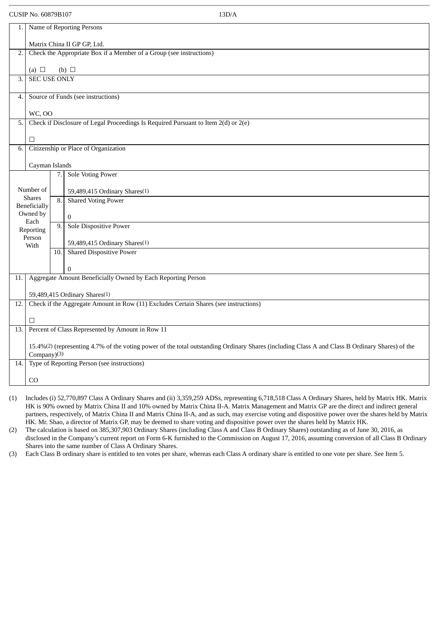#### CUSIP No. 60879B107

| 1.               | Name of Reporting Persons                                                                                                                                      |     |                                                                                    |  |  |  |
|------------------|----------------------------------------------------------------------------------------------------------------------------------------------------------------|-----|------------------------------------------------------------------------------------|--|--|--|
|                  | Matrix China II GP GP, Ltd.                                                                                                                                    |     |                                                                                    |  |  |  |
| 2.               |                                                                                                                                                                |     | Check the Appropriate Box if a Member of a Group (see instructions)                |  |  |  |
|                  |                                                                                                                                                                |     |                                                                                    |  |  |  |
|                  | (a) $\Box$                                                                                                                                                     |     | (b) $\Box$                                                                         |  |  |  |
| $\overline{3}$ . | <b>SEC USE ONLY</b>                                                                                                                                            |     |                                                                                    |  |  |  |
|                  |                                                                                                                                                                |     |                                                                                    |  |  |  |
| 4.               |                                                                                                                                                                |     | Source of Funds (see instructions)                                                 |  |  |  |
|                  | <b>WC, OO</b>                                                                                                                                                  |     |                                                                                    |  |  |  |
| 5.               |                                                                                                                                                                |     | Check if Disclosure of Legal Proceedings Is Required Pursuant to Item 2(d) or 2(e) |  |  |  |
|                  |                                                                                                                                                                |     |                                                                                    |  |  |  |
|                  | □                                                                                                                                                              |     |                                                                                    |  |  |  |
| 6.               |                                                                                                                                                                |     | Citizenship or Place of Organization                                               |  |  |  |
|                  | Cayman Islands                                                                                                                                                 |     |                                                                                    |  |  |  |
|                  |                                                                                                                                                                | 7.  | <b>Sole Voting Power</b>                                                           |  |  |  |
|                  |                                                                                                                                                                |     |                                                                                    |  |  |  |
|                  | Number of                                                                                                                                                      |     | 59,489,415 Ordinary Shares(1)                                                      |  |  |  |
|                  | <b>Shares</b><br>Beneficially                                                                                                                                  | 8.  | <b>Shared Voting Power</b>                                                         |  |  |  |
|                  | Owned by                                                                                                                                                       |     |                                                                                    |  |  |  |
|                  | Each                                                                                                                                                           | 9.  | $\bf{0}$<br>Sole Dispositive Power                                                 |  |  |  |
|                  | Reporting                                                                                                                                                      |     |                                                                                    |  |  |  |
|                  | Person<br>With                                                                                                                                                 |     | 59,489,415 Ordinary Shares <sup>(1)</sup>                                          |  |  |  |
|                  |                                                                                                                                                                | 10. | <b>Shared Dispositive Power</b>                                                    |  |  |  |
|                  |                                                                                                                                                                |     |                                                                                    |  |  |  |
|                  |                                                                                                                                                                |     | $\bf{0}$                                                                           |  |  |  |
| 11.              |                                                                                                                                                                |     | Aggregate Amount Beneficially Owned by Each Reporting Person                       |  |  |  |
|                  |                                                                                                                                                                |     |                                                                                    |  |  |  |
| 12.              | 59,489,415 Ordinary Shares <sup>(1)</sup><br>Check if the Aggregate Amount in Row (11) Excludes Certain Shares (see instructions)                              |     |                                                                                    |  |  |  |
|                  |                                                                                                                                                                |     |                                                                                    |  |  |  |
|                  | п                                                                                                                                                              |     |                                                                                    |  |  |  |
| 13.              | Percent of Class Represented by Amount in Row 11                                                                                                               |     |                                                                                    |  |  |  |
|                  |                                                                                                                                                                |     |                                                                                    |  |  |  |
|                  | 15.4%(2) (representing 4.7% of the voting power of the total outstanding Ordinary Shares (including Class A and Class B Ordinary Shares) of the<br>Company)(3) |     |                                                                                    |  |  |  |
| 14.              |                                                                                                                                                                |     | Type of Reporting Person (see instructions)                                        |  |  |  |
|                  |                                                                                                                                                                |     |                                                                                    |  |  |  |
|                  | CO                                                                                                                                                             |     |                                                                                    |  |  |  |

(1) Includes (i) 52,770,897 Class A Ordinary Shares and (ii) 3,359,259 ADSs, representing 6,718,518 Class A Ordinary Shares, held by Matrix HK. Matrix HK is 90% owned by Matrix China II and 10% owned by Matrix China II-A. Matrix Management and Matrix GP are the direct and indirect general partners, respectively, of Matrix China II and Matrix China II-A, and as such, may exercise voting and dispositive power over the shares held by Matrix HK. Mr. Shao, a director of Matrix GP, may be deemed to share voting and dispositive power over the shares held by Matrix HK.

(2) The calculation is based on 385,307,903 Ordinary Shares (including Class A and Class B Ordinary Shares) outstanding as of June 30, 2016, as disclosed in the Company's current report on Form 6-K furnished to the Commission on August 17, 2016, assuming conversion of all Class B Ordinary Shares into the same number of Class A Ordinary Shares.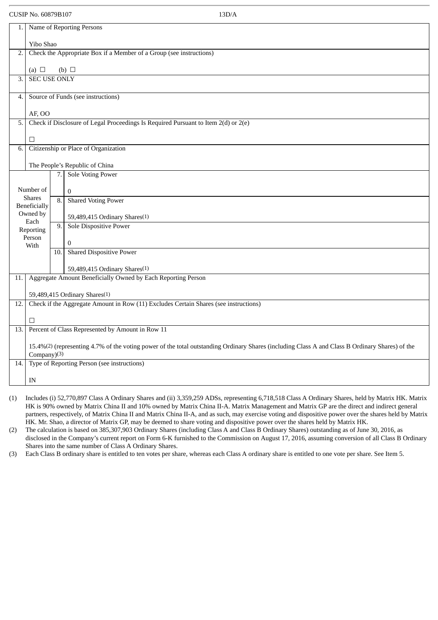| 1.  |                                                                                                                                                 |     | Name of Reporting Persons                                                            |  |  |  |  |
|-----|-------------------------------------------------------------------------------------------------------------------------------------------------|-----|--------------------------------------------------------------------------------------|--|--|--|--|
|     | Yibo Shao                                                                                                                                       |     |                                                                                      |  |  |  |  |
| 2.  | Check the Appropriate Box if a Member of a Group (see instructions)                                                                             |     |                                                                                      |  |  |  |  |
|     | (a) $\Box$                                                                                                                                      |     | (b) $\Box$                                                                           |  |  |  |  |
| 3.  | <b>SEC USE ONLY</b>                                                                                                                             |     |                                                                                      |  |  |  |  |
|     |                                                                                                                                                 |     |                                                                                      |  |  |  |  |
| 4.  |                                                                                                                                                 |     | Source of Funds (see instructions)                                                   |  |  |  |  |
|     | AF, OO                                                                                                                                          |     |                                                                                      |  |  |  |  |
| 5.  |                                                                                                                                                 |     | Check if Disclosure of Legal Proceedings Is Required Pursuant to Item 2(d) or 2(e)   |  |  |  |  |
|     |                                                                                                                                                 |     |                                                                                      |  |  |  |  |
|     | $\Box$                                                                                                                                          |     |                                                                                      |  |  |  |  |
| 6.  |                                                                                                                                                 |     | Citizenship or Place of Organization                                                 |  |  |  |  |
|     |                                                                                                                                                 |     | The People's Republic of China                                                       |  |  |  |  |
|     |                                                                                                                                                 | 7.  | <b>Sole Voting Power</b>                                                             |  |  |  |  |
|     |                                                                                                                                                 |     |                                                                                      |  |  |  |  |
|     | Number of<br><b>Shares</b>                                                                                                                      |     | $\bf{0}$                                                                             |  |  |  |  |
|     | <b>Beneficially</b>                                                                                                                             | 8.  | <b>Shared Voting Power</b>                                                           |  |  |  |  |
|     | Owned by                                                                                                                                        |     | 59,489,415 Ordinary Shares <sup>(1)</sup>                                            |  |  |  |  |
|     | Each<br>Reporting                                                                                                                               | 9.  | <b>Sole Dispositive Power</b>                                                        |  |  |  |  |
|     | Person                                                                                                                                          |     | $\overline{0}$                                                                       |  |  |  |  |
|     | With                                                                                                                                            | 10. | <b>Shared Dispositive Power</b>                                                      |  |  |  |  |
|     |                                                                                                                                                 |     |                                                                                      |  |  |  |  |
|     |                                                                                                                                                 |     | 59,489,415 Ordinary Shares(1)                                                        |  |  |  |  |
| 11. |                                                                                                                                                 |     | Aggregate Amount Beneficially Owned by Each Reporting Person                         |  |  |  |  |
|     |                                                                                                                                                 |     | 59,489,415 Ordinary Shares <sup>(1)</sup>                                            |  |  |  |  |
| 12. |                                                                                                                                                 |     | Check if the Aggregate Amount in Row (11) Excludes Certain Shares (see instructions) |  |  |  |  |
|     |                                                                                                                                                 |     |                                                                                      |  |  |  |  |
|     | □<br>Percent of Class Represented by Amount in Row 11                                                                                           |     |                                                                                      |  |  |  |  |
| 13. |                                                                                                                                                 |     |                                                                                      |  |  |  |  |
|     | 15.4%(2) (representing 4.7% of the voting power of the total outstanding Ordinary Shares (including Class A and Class B Ordinary Shares) of the |     |                                                                                      |  |  |  |  |
|     | Company)(3)                                                                                                                                     |     |                                                                                      |  |  |  |  |
| 14. | Type of Reporting Person (see instructions)                                                                                                     |     |                                                                                      |  |  |  |  |
|     | IN                                                                                                                                              |     |                                                                                      |  |  |  |  |

(1) Includes (i) 52,770,897 Class A Ordinary Shares and (ii) 3,359,259 ADSs, representing 6,718,518 Class A Ordinary Shares, held by Matrix HK. Matrix HK is 90% owned by Matrix China II and 10% owned by Matrix China II-A. Matrix Management and Matrix GP are the direct and indirect general partners, respectively, of Matrix China II and Matrix China II-A, and as such, may exercise voting and dispositive power over the shares held by Matrix HK. Mr. Shao, a director of Matrix GP, may be deemed to share voting and dispositive power over the shares held by Matrix HK.

(2) The calculation is based on 385,307,903 Ordinary Shares (including Class A and Class B Ordinary Shares) outstanding as of June 30, 2016, as disclosed in the Company's current report on Form 6-K furnished to the Commission on August 17, 2016, assuming conversion of all Class B Ordinary Shares into the same number of Class A Ordinary Shares.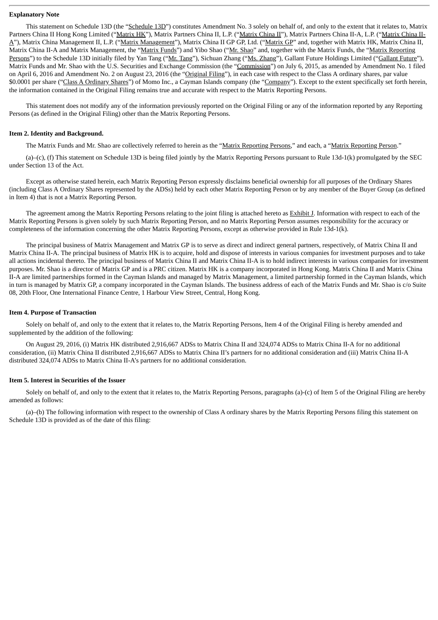#### **Explanatory Note**

This statement on Schedule 13D (the "Schedule 13D") constitutes Amendment No. 3 solely on behalf of, and only to the extent that it relates to, Matrix Partners China II Hong Kong Limited ("Matrix HK"), Matrix Partners China II, L.P. ("Matrix China II"), Matrix Partners China II-A, L.P. ("Matrix China II-A"), Matrix China Management II, L.P. ("Matrix Management"), Matrix China II GP GP, Ltd. ("Matrix GP" and, together with Matrix HK, Matrix China II, Matrix China II-A and Matrix Management, the "Matrix Funds") and Yibo Shao ("Mr. Shao" and, together with the Matrix Funds, the "Matrix Reporting Persons") to the Schedule 13D initially filed by Yan Tang ("Mr. Tang"), Sichuan Zhang ("Ms. Zhang"), Gallant Future Holdings Limited ("Gallant Future"), Matrix Funds and Mr. Shao with the U.S. Securities and Exchange Commission (the "Commission") on July 6, 2015, as amended by Amendment No. 1 filed on April 6, 2016 and Amendment No. 2 on August 23, 2016 (the "Original Filing"), in each case with respect to the Class A ordinary shares, par value \$0.0001 per share ("Class A Ordinary Shares") of Momo Inc., a Cayman Islands company (the "Company"). Except to the extent specifically set forth herein, the information contained in the Original Filing remains true and accurate with respect to the Matrix Reporting Persons.

This statement does not modify any of the information previously reported on the Original Filing or any of the information reported by any Reporting Persons (as defined in the Original Filing) other than the Matrix Reporting Persons.

#### **Item 2. Identity and Background.**

The Matrix Funds and Mr. Shao are collectively referred to herein as the "Matrix Reporting Persons," and each, a "Matrix Reporting Person."

(a)–(c), (f) This statement on Schedule 13D is being filed jointly by the Matrix Reporting Persons pursuant to Rule 13d-1(k) promulgated by the SEC under Section 13 of the Act.

Except as otherwise stated herein, each Matrix Reporting Person expressly disclaims beneficial ownership for all purposes of the Ordinary Shares (including Class A Ordinary Shares represented by the ADSs) held by each other Matrix Reporting Person or by any member of the Buyer Group (as defined in Item 4) that is not a Matrix Reporting Person.

The agreement among the Matrix Reporting Persons relating to the joint filing is attached hereto as Exhibit J. Information with respect to each of the Matrix Reporting Persons is given solely by such Matrix Reporting Person, and no Matrix Reporting Person assumes responsibility for the accuracy or completeness of the information concerning the other Matrix Reporting Persons, except as otherwise provided in Rule 13d-1(k).

The principal business of Matrix Management and Matrix GP is to serve as direct and indirect general partners, respectively, of Matrix China II and Matrix China II-A. The principal business of Matrix HK is to acquire, hold and dispose of interests in various companies for investment purposes and to take all actions incidental thereto. The principal business of Matrix China II and Matrix China II-A is to hold indirect interests in various companies for investment purposes. Mr. Shao is a director of Matrix GP and is a PRC citizen. Matrix HK is a company incorporated in Hong Kong. Matrix China II and Matrix China II-A are limited partnerships formed in the Cayman Islands and managed by Matrix Management, a limited partnership formed in the Cayman Islands, which in turn is managed by Matrix GP, a company incorporated in the Cayman Islands. The business address of each of the Matrix Funds and Mr. Shao is c/o Suite 08, 20th Floor, One International Finance Centre, 1 Harbour View Street, Central, Hong Kong.

#### **Item 4. Purpose of Transaction**

Solely on behalf of, and only to the extent that it relates to, the Matrix Reporting Persons, Item 4 of the Original Filing is hereby amended and supplemented by the addition of the following:

On August 29, 2016, (i) Matrix HK distributed 2,916,667 ADSs to Matrix China II and 324,074 ADSs to Matrix China II-A for no additional consideration, (ii) Matrix China II distributed 2,916,667 ADSs to Matrix China II's partners for no additional consideration and (iii) Matrix China II-A distributed 324,074 ADSs to Matrix China II-A's partners for no additional consideration.

#### **Item 5. Interest in Securities of the Issuer**

Solely on behalf of, and only to the extent that it relates to, the Matrix Reporting Persons, paragraphs (a)-(c) of Item 5 of the Original Filing are hereby amended as follows:

(a)–(b) The following information with respect to the ownership of Class A ordinary shares by the Matrix Reporting Persons filing this statement on Schedule 13D is provided as of the date of this filing: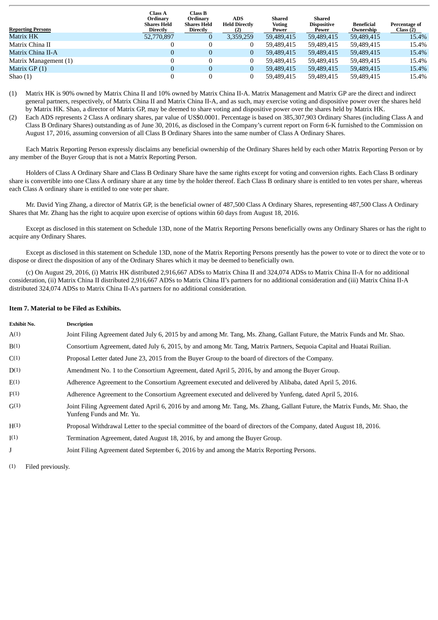| <b>Reporting Persons</b> | <b>Class A</b><br>Ordinary<br>Shares Held<br>Directly | <b>Class B</b><br>Ordinary<br>Shares Held<br>Directly | <b>ADS</b><br><b>Held Directly</b><br>(2) | Shared<br><b>Voting</b><br>Power | Shared<br><b>Dispositive</b><br>Power | <b>Beneficial</b><br>Ownership | <b>Percentage of</b><br>Class(2) |
|--------------------------|-------------------------------------------------------|-------------------------------------------------------|-------------------------------------------|----------------------------------|---------------------------------------|--------------------------------|----------------------------------|
| Matrix HK                | 52,770,897                                            |                                                       | 3,359,259                                 | 59,489,415                       | 59,489,415                            | 59,489,415                     | 15.4%                            |
| Matrix China II          |                                                       |                                                       |                                           | 59.489.415                       | 59,489,415                            | 59,489,415                     | 15.4%                            |
| Matrix China II-A        | 0                                                     | $\Omega$                                              | 0                                         | 59,489,415                       | 59,489,415                            | 59,489,415                     | 15.4%                            |
| Matrix Management (1)    |                                                       |                                                       |                                           | 59.489.415                       | 59,489,415                            | 59.489.415                     | 15.4%                            |
| Matrix GP (1)            | 0                                                     |                                                       | $\bf{0}$                                  | 59,489,415                       | 59,489,415                            | 59,489,415                     | 15.4%                            |
| Shao $(1)$               |                                                       |                                                       |                                           | 59,489,415                       | 59,489,415                            | 59,489,415                     | 15.4%                            |

(1) Matrix HK is 90% owned by Matrix China II and 10% owned by Matrix China II-A. Matrix Management and Matrix GP are the direct and indirect general partners, respectively, of Matrix China II and Matrix China II-A, and as such, may exercise voting and dispositive power over the shares held by Matrix HK. Shao, a director of Matrix GP, may be deemed to share voting and dispositive power over the shares held by Matrix HK.

(2) Each ADS represents 2 Class A ordinary shares, par value of US\$0.0001. Percentage is based on 385,307,903 Ordinary Shares (including Class A and Class B Ordinary Shares) outstanding as of June 30, 2016, as disclosed in the Company's current report on Form 6-K furnished to the Commission on August 17, 2016, assuming conversion of all Class B Ordinary Shares into the same number of Class A Ordinary Shares.

Each Matrix Reporting Person expressly disclaims any beneficial ownership of the Ordinary Shares held by each other Matrix Reporting Person or by any member of the Buyer Group that is not a Matrix Reporting Person.

Holders of Class A Ordinary Share and Class B Ordinary Share have the same rights except for voting and conversion rights. Each Class B ordinary share is convertible into one Class A ordinary share at any time by the holder thereof. Each Class B ordinary share is entitled to ten votes per share, whereas each Class A ordinary share is entitled to one vote per share.

Mr. David Ying Zhang, a director of Matrix GP, is the beneficial owner of 487,500 Class A Ordinary Shares, representing 487,500 Class A Ordinary Shares that Mr. Zhang has the right to acquire upon exercise of options within 60 days from August 18, 2016.

Except as disclosed in this statement on Schedule 13D, none of the Matrix Reporting Persons beneficially owns any Ordinary Shares or has the right to acquire any Ordinary Shares.

Except as disclosed in this statement on Schedule 13D, none of the Matrix Reporting Persons presently has the power to vote or to direct the vote or to dispose or direct the disposition of any of the Ordinary Shares which it may be deemed to beneficially own.

(c) On August 29, 2016, (i) Matrix HK distributed 2,916,667 ADSs to Matrix China II and 324,074 ADSs to Matrix China II-A for no additional consideration, (ii) Matrix China II distributed 2,916,667 ADSs to Matrix China II's partners for no additional consideration and (iii) Matrix China II-A distributed 324,074 ADSs to Matrix China II-A's partners for no additional consideration.

#### **Item 7. Material to be Filed as Exhibits.**

| <b>Exhibit No.</b> | <b>Description</b>                                                                                                                                        |
|--------------------|-----------------------------------------------------------------------------------------------------------------------------------------------------------|
| A(1)               | Joint Filing Agreement dated July 6, 2015 by and among Mr. Tang, Ms. Zhang, Gallant Future, the Matrix Funds and Mr. Shao.                                |
| B(1)               | Consortium Agreement, dated July 6, 2015, by and among Mr. Tang, Matrix Partners, Sequoia Capital and Huatai Ruilian.                                     |
| C(1)               | Proposal Letter dated June 23, 2015 from the Buyer Group to the board of directors of the Company.                                                        |
| D(1)               | Amendment No. 1 to the Consortium Agreement, dated April 5, 2016, by and among the Buyer Group.                                                           |
| E(1)               | Adherence Agreement to the Consortium Agreement executed and delivered by Alibaba, dated April 5, 2016.                                                   |
| F(1)               | Adherence Agreement to the Consortium Agreement executed and delivered by Yunfeng, dated April 5, 2016.                                                   |
| G(1)               | Joint Filing Agreement dated April 6, 2016 by and among Mr. Tang, Ms. Zhang, Gallant Future, the Matrix Funds, Mr. Shao, the<br>Yunfeng Funds and Mr. Yu. |
| H(1)               | Proposal Withdrawal Letter to the special committee of the board of directors of the Company, dated August 18, 2016.                                      |
| I(1)               | Termination Agreement, dated August 18, 2016, by and among the Buyer Group.                                                                               |
| J                  | Joint Filing Agreement dated September 6, 2016 by and among the Matrix Reporting Persons.                                                                 |

(1) Filed previously.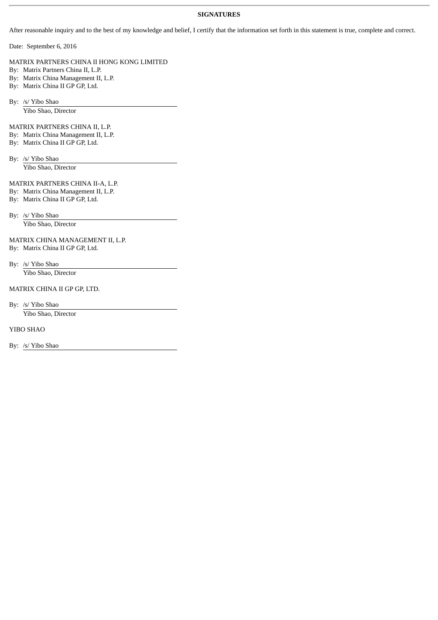#### **SIGNATURES**

After reasonable inquiry and to the best of my knowledge and belief, I certify that the information set forth in this statement is true, complete and correct.

Date: September 6, 2016

MATRIX PARTNERS CHINA II HONG KONG LIMITED

By: Matrix Partners China II, L.P.

By: Matrix China Management II, L.P.

By: Matrix China II GP GP, Ltd.

By: /s/ Yibo Shao

Yibo Shao, Director

MATRIX PARTNERS CHINA II, L.P.

By: Matrix China Management II, L.P.

By: Matrix China II GP GP, Ltd.

By: /s/ Yibo Shao Yibo Shao, Director

MATRIX PARTNERS CHINA II-A, L.P.

By: Matrix China Management II, L.P.

By: Matrix China II GP GP, Ltd.

By: /s/ Yibo Shao

Yibo Shao, Director

MATRIX CHINA MANAGEMENT II, L.P. By: Matrix China II GP GP, Ltd.

By: /s/ Yibo Shao

Yibo Shao, Director

MATRIX CHINA II GP GP, LTD.

By: /s/ Yibo Shao Yibo Shao, Director

YIBO SHAO

By: /s/ Yibo Shao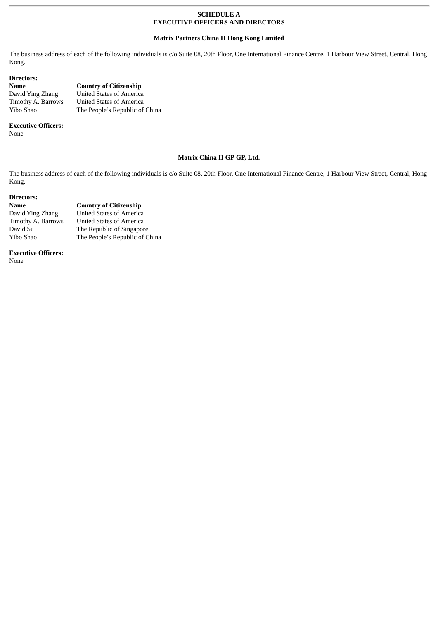#### **SCHEDULE A EXECUTIVE OFFICERS AND DIRECTORS**

#### **Matrix Partners China II Hong Kong Limited**

The business address of each of the following individuals is c/o Suite 08, 20th Floor, One International Finance Centre, 1 Harbour View Street, Central, Hong Kong.

| Directors:         |                                 |
|--------------------|---------------------------------|
| Name               | <b>Country of Citizenship</b>   |
| David Ying Zhang   | <b>United States of America</b> |
| Timothy A. Barrows | <b>United States of America</b> |
| Yibo Shao          | The People's Republic of China  |

#### **Executive Officers:**

None

#### **Matrix China II GP GP, Ltd.**

The business address of each of the following individuals is c/o Suite 08, 20th Floor, One International Finance Centre, 1 Harbour View Street, Central, Hong Kong.

#### **Directors:**

| Name               | <b>Country of Citizenship</b>   |
|--------------------|---------------------------------|
| David Ying Zhang   | <b>United States of America</b> |
| Timothy A. Barrows | <b>United States of America</b> |
| David Su           | The Republic of Singapore       |
| Yibo Shao          | The People's Republic of China  |

**Executive Officers:**

None